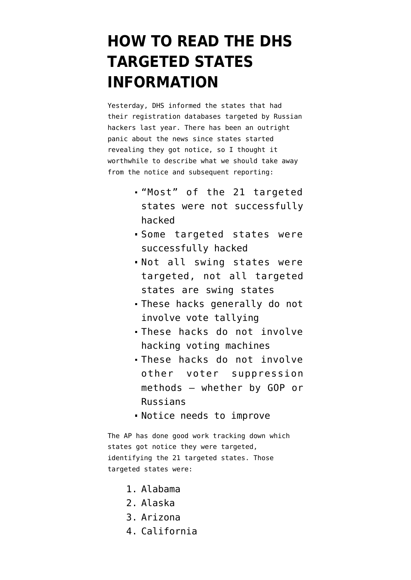# **[HOW TO READ THE DHS](https://www.emptywheel.net/2017/09/23/how-to-read-the-dhs-targeted-states-information/) [TARGETED STATES](https://www.emptywheel.net/2017/09/23/how-to-read-the-dhs-targeted-states-information/) [INFORMATION](https://www.emptywheel.net/2017/09/23/how-to-read-the-dhs-targeted-states-information/)**

Yesterday, DHS informed the states that had their registration databases targeted by Russian hackers last year. There has been an outright panic about the news since states started revealing they got notice, so I thought it worthwhile to describe what we should take away from the notice and subsequent reporting:

- "Most" of the 21 targeted states were not successfully hacked
- Some targeted states were successfully hacked
- Not all swing states were targeted, not all targeted states are swing states
- These hacks generally do not involve vote tallying
- These hacks do not involve hacking voting machines
- These hacks do not involve other voter suppression methods — whether by GOP or Russians
- Notice needs to improve

The [AP has done good work](https://apnews.com/cb8a753a9b0948589cc372a3c037a567?utm_campaign=SocialFlow&utm_source=Twitter&utm_medium=AP) tracking down which states got notice they were targeted, identifying the 21 targeted states. Those targeted states were:

- 1. Alabama
- 2. Alaska
- 3. Arizona
- 4. California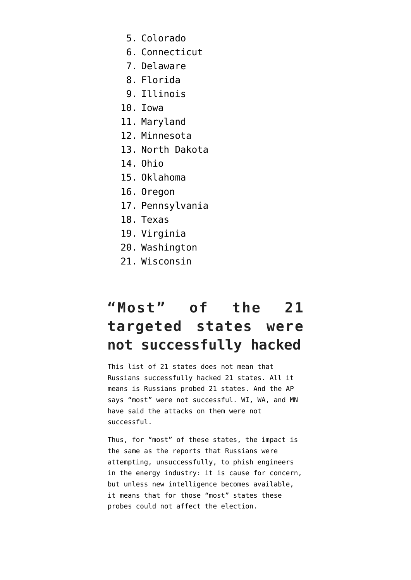- 5. Colorado
- 6. Connecticut
- 7. Delaware
- 8. Florida
- 9. Illinois
- 10. Iowa
- 11. Maryland
- 12. Minnesota
- 13. North Dakota
- 14. Ohio
- 15. Oklahoma
- 16. Oregon
- 17. Pennsylvania
- 18. Texas
- 19. Virginia
- 20. Washington
- 21. Wisconsin

### **"Most" of the 21 targeted states were not successfully hacked**

This list of 21 states does not mean that Russians successfully hacked 21 states. All it means is Russians probed 21 states. And the AP says "most" were not successful. WI, WA, and MN have said the attacks on them were not successful.

Thus, for "most" of these states, the impact is the same as the reports that Russians were attempting, unsuccessfully, to phish engineers in the energy industry: it is cause for concern, but unless new intelligence becomes available, it means that for those "most" states these probes could not affect the election.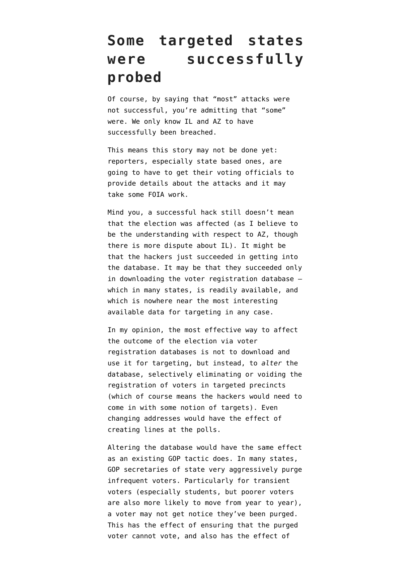### **Some targeted states were successfully probed**

Of course, by saying that "most" attacks were not successful, you're admitting that "some" were. We only know IL and AZ to have successfully been breached.

This means this story may not be done yet: reporters, especially state based ones, are going to have to get their voting officials to provide details about the attacks and it may take some FOIA work.

Mind you, a successful hack still doesn't mean that the election was affected (as I believe to be the understanding with respect to AZ, though there is more dispute about IL). It might be that the hackers just succeeded in getting into the database. It may be that they succeeded only in downloading the voter registration database which in many states, is readily available, and which is nowhere near the most interesting available data for targeting in any case.

In my opinion, the most effective way to affect the outcome of the election via voter registration databases is not to download and use it for targeting, but instead, to *alter* the database, selectively eliminating or voiding the registration of voters in targeted precincts (which of course means the hackers would need to come in with some notion of targets). Even changing addresses would have the effect of creating lines at the polls.

Altering the database would have the same effect as an existing GOP tactic does. In many states, GOP secretaries of state very aggressively purge infrequent voters. Particularly for transient voters (especially students, but poorer voters are also more likely to move from year to year), a voter may not get notice they've been purged. This has the effect of ensuring that the purged voter cannot vote, and also has the effect of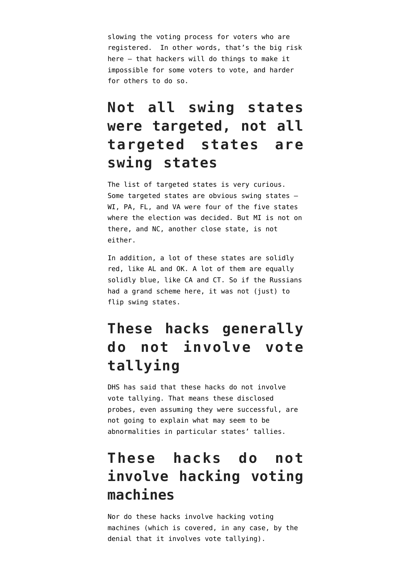slowing the voting process for voters who are registered. In other words, that's the big risk here — that hackers will do things to make it impossible for some voters to vote, and harder for others to do so.

### **Not all swing states were targeted, not all targeted states are swing states**

The list of targeted states is very curious. Some targeted states are obvious swing states — WI, PA, FL, and VA were four of the five states where the election was decided. But MI is not on there, and NC, another close state, is not either.

In addition, a lot of these states are solidly red, like AL and OK. A lot of them are equally solidly blue, like CA and CT. So if the Russians had a grand scheme here, it was not (just) to flip swing states.

## **These hacks generally do not involve vote tallying**

DHS has said that these hacks do not involve vote tallying. That means these disclosed probes, even assuming they were successful, are not going to explain what may seem to be abnormalities in particular states' tallies.

### **These hacks do not involve hacking voting machines**

Nor do these hacks involve hacking voting machines (which is covered, in any case, by the denial that it involves vote tallying).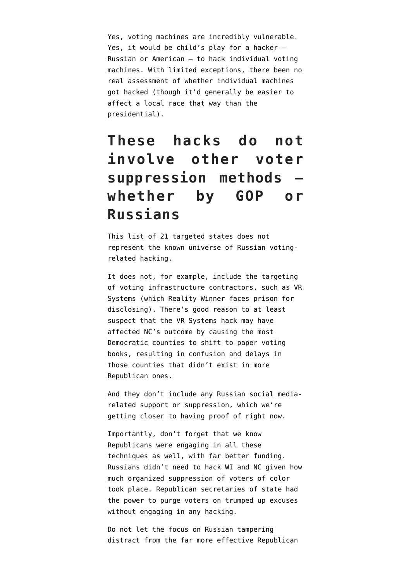Yes, voting machines are incredibly vulnerable. Yes, it would be child's play for a hacker — Russian or American — to hack individual voting machines. With limited exceptions, there been no real assessment of whether individual machines got hacked (though it'd generally be easier to affect a local race that way than the presidential).

### **These hacks do not involve other voter suppression methods whether by GOP or Russians**

This list of 21 targeted states does not represent the known universe of Russian votingrelated hacking.

It does not, for example, include the [targeting](https://www.emptywheel.net/2017/09/01/nyts-churlish-vote-counting-story/) [of voting infrastructure contractors](https://www.emptywheel.net/2017/09/01/nyts-churlish-vote-counting-story/), such as VR Systems (which Reality Winner faces prison for disclosing). There's good reason to at least suspect that the VR Systems hack may have affected NC's outcome by causing the most Democratic counties to shift to paper voting books, resulting in confusion and delays in those counties that didn't exist in more Republican ones.

And they don't include any Russian social mediarelated support or suppression, which [we're](https://www.emptywheel.net/2017/09/20/the-facebook-targeting-tie-gets-less-flimsy/) [getting closer to having proof of](https://www.emptywheel.net/2017/09/20/the-facebook-targeting-tie-gets-less-flimsy/) right now.

Importantly, don't forget that we know Republicans were engaging in all these techniques as well, with far better funding. Russians didn't need to hack WI and NC given how much organized suppression of voters of color took place. Republican secretaries of state had the power to purge voters on trumped up excuses without engaging in any hacking.

Do not let the focus on Russian tampering distract from the far more effective Republican